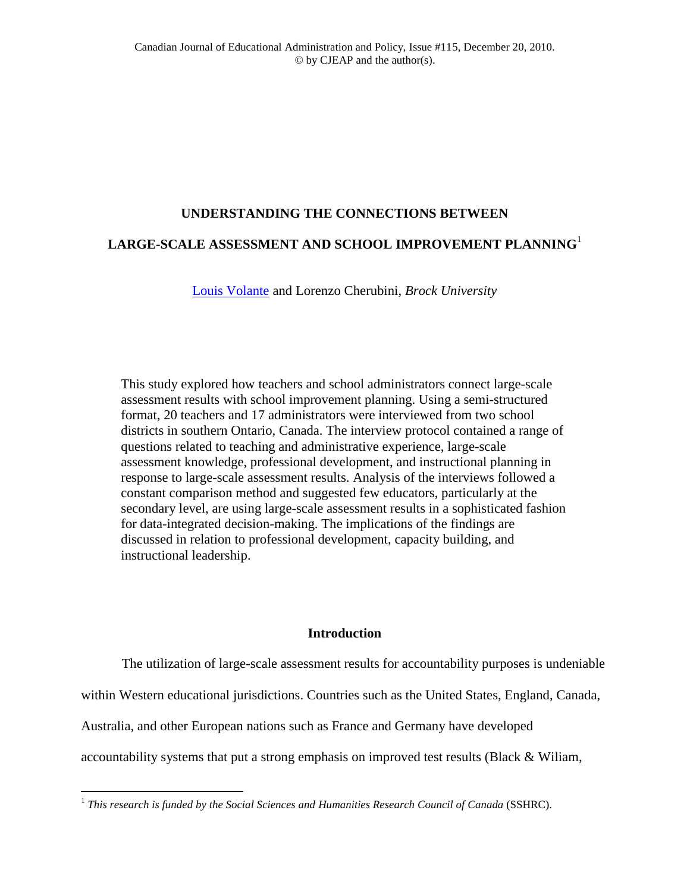# **UNDERSTANDING THE CONNECTIONS BETWEEN**

# **LARGE-SCALE ASSESSMENT AND SCHOOL IMPROVEMENT PLANNING**<sup>1</sup>

[Louis Volante](mailto:Louis.Volante@Brocku.ca) and Lorenzo Cherubini, *Brock University*

This study explored how teachers and school administrators connect large-scale assessment results with school improvement planning. Using a semi-structured format, 20 teachers and 17 administrators were interviewed from two school districts in southern Ontario, Canada. The interview protocol contained a range of questions related to teaching and administrative experience, large-scale assessment knowledge, professional development, and instructional planning in response to large-scale assessment results. Analysis of the interviews followed a constant comparison method and suggested few educators, particularly at the secondary level, are using large-scale assessment results in a sophisticated fashion for data-integrated decision-making. The implications of the findings are discussed in relation to professional development, capacity building, and instructional leadership.

# **Introduction**

The utilization of large-scale assessment results for accountability purposes is undeniable

within Western educational jurisdictions. Countries such as the United States, England, Canada,

Australia, and other European nations such as France and Germany have developed

accountability systems that put a strong emphasis on improved test results (Black & Wiliam,

 $\overline{a}$ 

<sup>1</sup> *This research is funded by the Social Sciences and Humanities Research Council of Canada* (SSHRC).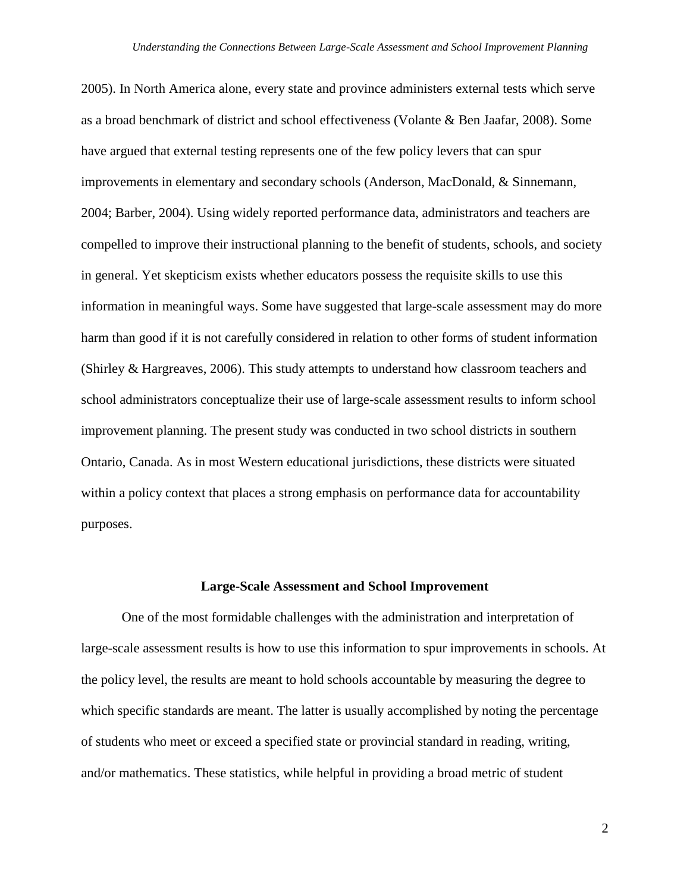2005). In North America alone, every state and province administers external tests which serve as a broad benchmark of district and school effectiveness (Volante & Ben Jaafar, 2008). Some have argued that external testing represents one of the few policy levers that can spur improvements in elementary and secondary schools (Anderson, MacDonald, & Sinnemann, 2004; Barber, 2004). Using widely reported performance data, administrators and teachers are compelled to improve their instructional planning to the benefit of students, schools, and society in general. Yet skepticism exists whether educators possess the requisite skills to use this information in meaningful ways. Some have suggested that large-scale assessment may do more harm than good if it is not carefully considered in relation to other forms of student information (Shirley & Hargreaves, 2006). This study attempts to understand how classroom teachers and school administrators conceptualize their use of large-scale assessment results to inform school improvement planning. The present study was conducted in two school districts in southern Ontario, Canada. As in most Western educational jurisdictions, these districts were situated within a policy context that places a strong emphasis on performance data for accountability purposes.

#### **Large-Scale Assessment and School Improvement**

One of the most formidable challenges with the administration and interpretation of large-scale assessment results is how to use this information to spur improvements in schools. At the policy level, the results are meant to hold schools accountable by measuring the degree to which specific standards are meant. The latter is usually accomplished by noting the percentage of students who meet or exceed a specified state or provincial standard in reading, writing, and/or mathematics. These statistics, while helpful in providing a broad metric of student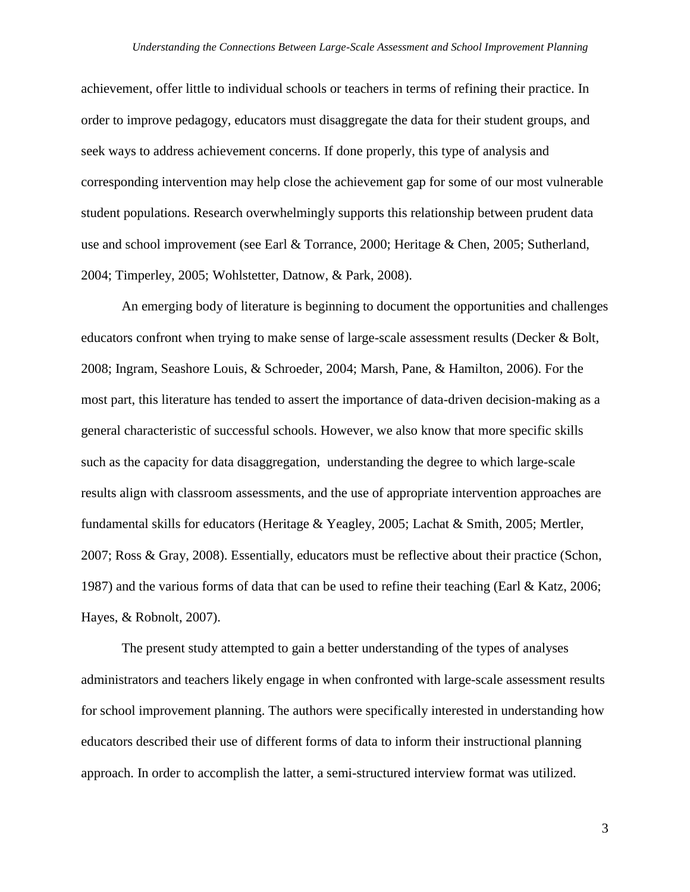achievement, offer little to individual schools or teachers in terms of refining their practice. In order to improve pedagogy, educators must disaggregate the data for their student groups, and seek ways to address achievement concerns. If done properly, this type of analysis and corresponding intervention may help close the achievement gap for some of our most vulnerable student populations. Research overwhelmingly supports this relationship between prudent data use and school improvement (see Earl & Torrance, 2000; Heritage & Chen, 2005; Sutherland, 2004; Timperley, 2005; Wohlstetter, Datnow, & Park, 2008).

An emerging body of literature is beginning to document the opportunities and challenges educators confront when trying to make sense of large-scale assessment results (Decker & Bolt, 2008; Ingram, Seashore Louis, & Schroeder, 2004; Marsh, Pane, & Hamilton, 2006). For the most part, this literature has tended to assert the importance of data-driven decision-making as a general characteristic of successful schools. However, we also know that more specific skills such as the capacity for data disaggregation, understanding the degree to which large-scale results align with classroom assessments, and the use of appropriate intervention approaches are fundamental skills for educators (Heritage & Yeagley, 2005; Lachat & Smith, 2005; Mertler, 2007; Ross & Gray, 2008). Essentially, educators must be reflective about their practice (Schon, 1987) and the various forms of data that can be used to refine their teaching (Earl & Katz, 2006; Hayes, & Robnolt, 2007).

The present study attempted to gain a better understanding of the types of analyses administrators and teachers likely engage in when confronted with large-scale assessment results for school improvement planning. The authors were specifically interested in understanding how educators described their use of different forms of data to inform their instructional planning approach. In order to accomplish the latter, a semi-structured interview format was utilized.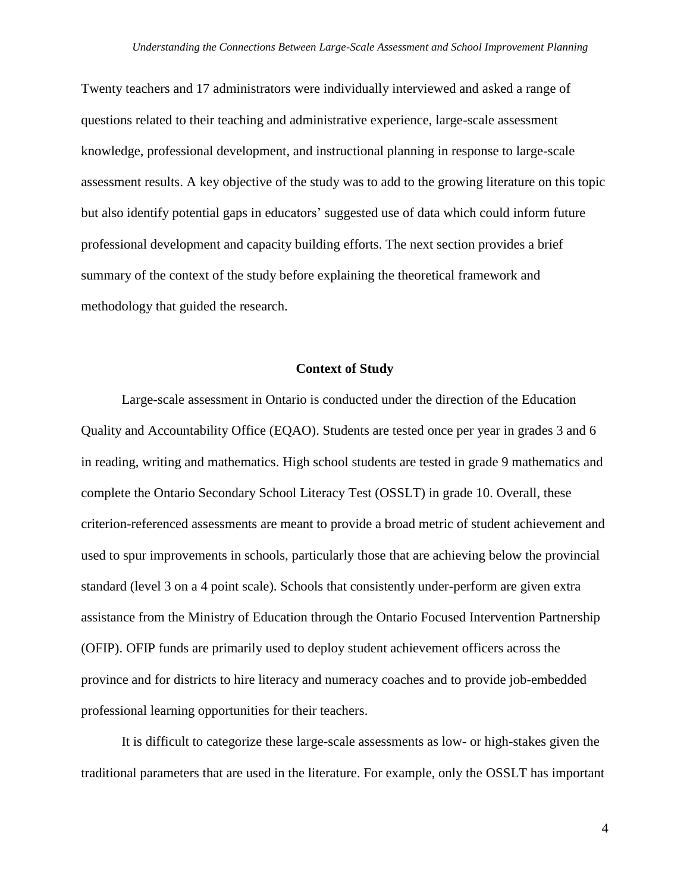Twenty teachers and 17 administrators were individually interviewed and asked a range of questions related to their teaching and administrative experience, large-scale assessment knowledge, professional development, and instructional planning in response to large-scale assessment results. A key objective of the study was to add to the growing literature on this topic but also identify potential gaps in educators" suggested use of data which could inform future professional development and capacity building efforts. The next section provides a brief summary of the context of the study before explaining the theoretical framework and methodology that guided the research.

### **Context of Study**

Large-scale assessment in Ontario is conducted under the direction of the Education Quality and Accountability Office (EQAO). Students are tested once per year in grades 3 and 6 in reading, writing and mathematics. High school students are tested in grade 9 mathematics and complete the Ontario Secondary School Literacy Test (OSSLT) in grade 10. Overall, these criterion-referenced assessments are meant to provide a broad metric of student achievement and used to spur improvements in schools, particularly those that are achieving below the provincial standard (level 3 on a 4 point scale). Schools that consistently under-perform are given extra assistance from the Ministry of Education through the Ontario Focused Intervention Partnership (OFIP). OFIP funds are primarily used to deploy student achievement officers across the province and for districts to hire literacy and numeracy coaches and to provide job-embedded professional learning opportunities for their teachers.

It is difficult to categorize these large-scale assessments as low- or high-stakes given the traditional parameters that are used in the literature. For example, only the OSSLT has important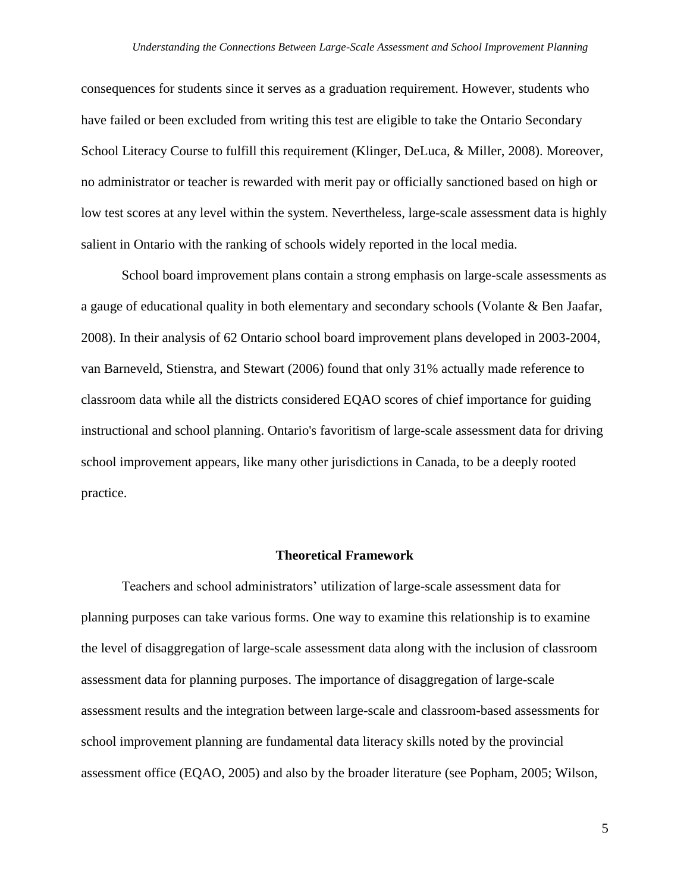consequences for students since it serves as a graduation requirement. However, students who have failed or been excluded from writing this test are eligible to take the Ontario Secondary School Literacy Course to fulfill this requirement (Klinger, DeLuca, & Miller, 2008). Moreover, no administrator or teacher is rewarded with merit pay or officially sanctioned based on high or low test scores at any level within the system. Nevertheless, large-scale assessment data is highly salient in Ontario with the ranking of schools widely reported in the local media.

School board improvement plans contain a strong emphasis on large-scale assessments as a gauge of educational quality in both elementary and secondary schools (Volante & Ben Jaafar, 2008). In their analysis of 62 Ontario school board improvement plans developed in 2003-2004, van Barneveld, Stienstra, and Stewart (2006) found that only 31% actually made reference to classroom data while all the districts considered EQAO scores of chief importance for guiding instructional and school planning. Ontario's favoritism of large-scale assessment data for driving school improvement appears, like many other jurisdictions in Canada, to be a deeply rooted practice.

#### **Theoretical Framework**

Teachers and school administrators" utilization of large-scale assessment data for planning purposes can take various forms. One way to examine this relationship is to examine the level of disaggregation of large-scale assessment data along with the inclusion of classroom assessment data for planning purposes. The importance of disaggregation of large-scale assessment results and the integration between large-scale and classroom-based assessments for school improvement planning are fundamental data literacy skills noted by the provincial assessment office (EQAO, 2005) and also by the broader literature (see Popham, 2005; Wilson,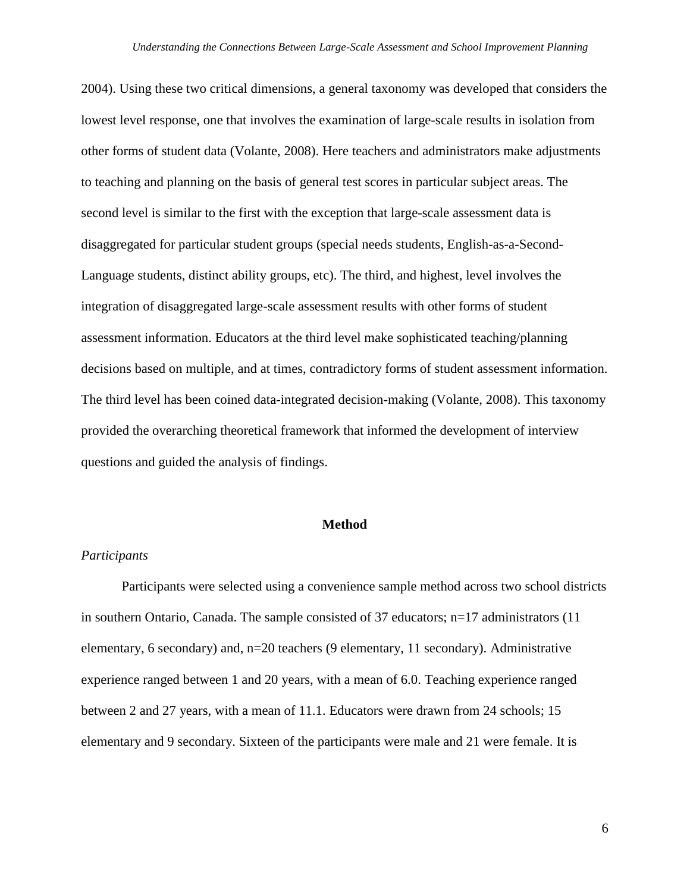2004). Using these two critical dimensions, a general taxonomy was developed that considers the lowest level response, one that involves the examination of large-scale results in isolation from other forms of student data (Volante, 2008). Here teachers and administrators make adjustments to teaching and planning on the basis of general test scores in particular subject areas. The second level is similar to the first with the exception that large-scale assessment data is disaggregated for particular student groups (special needs students, English-as-a-Second-Language students, distinct ability groups, etc). The third, and highest, level involves the integration of disaggregated large-scale assessment results with other forms of student assessment information. Educators at the third level make sophisticated teaching/planning decisions based on multiple, and at times, contradictory forms of student assessment information. The third level has been coined data-integrated decision-making (Volante, 2008). This taxonomy provided the overarching theoretical framework that informed the development of interview questions and guided the analysis of findings.

### **Method**

## *Participants*

Participants were selected using a convenience sample method across two school districts in southern Ontario, Canada. The sample consisted of 37 educators; n=17 administrators (11 elementary, 6 secondary) and, n=20 teachers (9 elementary, 11 secondary). Administrative experience ranged between 1 and 20 years, with a mean of 6.0. Teaching experience ranged between 2 and 27 years, with a mean of 11.1. Educators were drawn from 24 schools; 15 elementary and 9 secondary. Sixteen of the participants were male and 21 were female. It is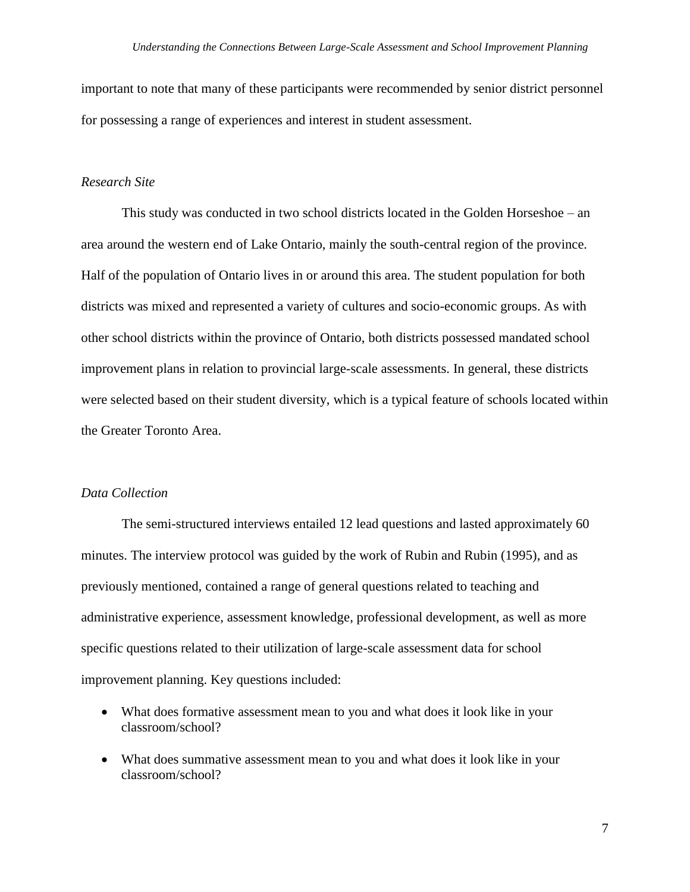important to note that many of these participants were recommended by senior district personnel for possessing a range of experiences and interest in student assessment.

### *Research Site*

This study was conducted in two school districts located in the Golden Horseshoe – an area around the western end of Lake Ontario, mainly the south-central region of the province. Half of the population of Ontario lives in or around this area. The student population for both districts was mixed and represented a variety of cultures and socio-economic groups. As with other school districts within the province of Ontario, both districts possessed mandated school improvement plans in relation to provincial large-scale assessments. In general, these districts were selected based on their student diversity, which is a typical feature of schools located within the Greater Toronto Area.

## *Data Collection*

The semi-structured interviews entailed 12 lead questions and lasted approximately 60 minutes. The interview protocol was guided by the work of Rubin and Rubin (1995), and as previously mentioned, contained a range of general questions related to teaching and administrative experience, assessment knowledge, professional development, as well as more specific questions related to their utilization of large-scale assessment data for school improvement planning. Key questions included:

- What does formative assessment mean to you and what does it look like in your classroom/school?
- What does summative assessment mean to you and what does it look like in your classroom/school?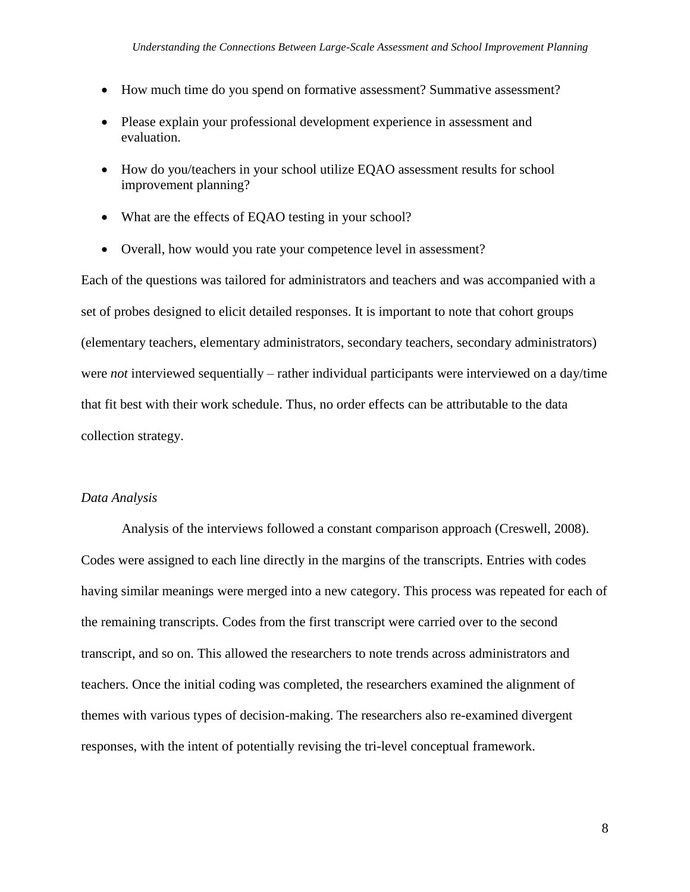- How much time do you spend on formative assessment? Summative assessment?
- Please explain your professional development experience in assessment and evaluation.
- How do you/teachers in your school utilize EQAO assessment results for school improvement planning?
- What are the effects of EQAO testing in your school?
- Overall, how would you rate your competence level in assessment?

Each of the questions was tailored for administrators and teachers and was accompanied with a set of probes designed to elicit detailed responses. It is important to note that cohort groups (elementary teachers, elementary administrators, secondary teachers, secondary administrators) were *not* interviewed sequentially – rather individual participants were interviewed on a day/time that fit best with their work schedule. Thus, no order effects can be attributable to the data collection strategy.

## *Data Analysis*

Analysis of the interviews followed a constant comparison approach (Creswell, 2008). Codes were assigned to each line directly in the margins of the transcripts. Entries with codes having similar meanings were merged into a new category. This process was repeated for each of the remaining transcripts. Codes from the first transcript were carried over to the second transcript, and so on. This allowed the researchers to note trends across administrators and teachers. Once the initial coding was completed, the researchers examined the alignment of themes with various types of decision-making. The researchers also re-examined divergent responses, with the intent of potentially revising the tri-level conceptual framework.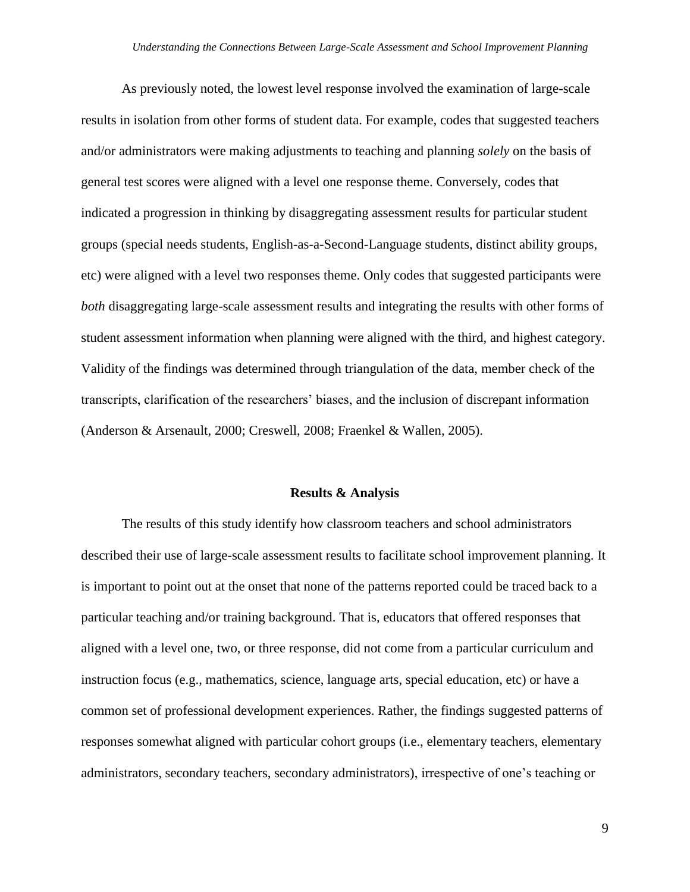As previously noted, the lowest level response involved the examination of large-scale results in isolation from other forms of student data. For example, codes that suggested teachers and/or administrators were making adjustments to teaching and planning *solely* on the basis of general test scores were aligned with a level one response theme. Conversely, codes that indicated a progression in thinking by disaggregating assessment results for particular student groups (special needs students, English-as-a-Second-Language students, distinct ability groups, etc) were aligned with a level two responses theme. Only codes that suggested participants were *both* disaggregating large-scale assessment results and integrating the results with other forms of student assessment information when planning were aligned with the third, and highest category. Validity of the findings was determined through triangulation of the data, member check of the transcripts, clarification of the researchers" biases, and the inclusion of discrepant information (Anderson & Arsenault, 2000; Creswell, 2008; Fraenkel & Wallen, 2005).

#### **Results & Analysis**

The results of this study identify how classroom teachers and school administrators described their use of large-scale assessment results to facilitate school improvement planning. It is important to point out at the onset that none of the patterns reported could be traced back to a particular teaching and/or training background. That is, educators that offered responses that aligned with a level one, two, or three response, did not come from a particular curriculum and instruction focus (e.g., mathematics, science, language arts, special education, etc) or have a common set of professional development experiences. Rather, the findings suggested patterns of responses somewhat aligned with particular cohort groups (i.e., elementary teachers, elementary administrators, secondary teachers, secondary administrators), irrespective of one"s teaching or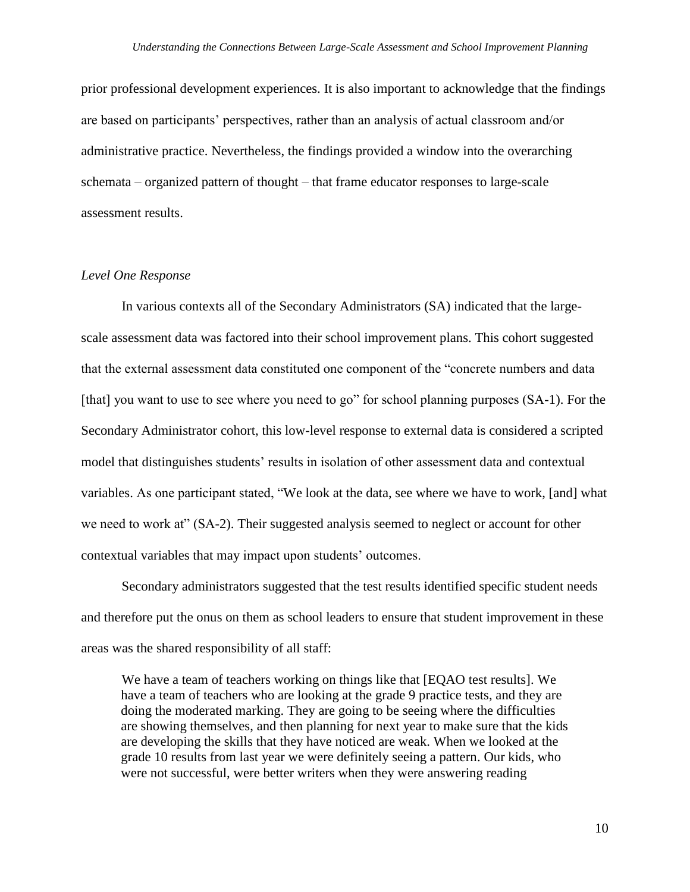prior professional development experiences. It is also important to acknowledge that the findings are based on participants" perspectives, rather than an analysis of actual classroom and/or administrative practice. Nevertheless, the findings provided a window into the overarching schemata – organized pattern of thought – that frame educator responses to large-scale assessment results.

## *Level One Response*

In various contexts all of the Secondary Administrators (SA) indicated that the largescale assessment data was factored into their school improvement plans. This cohort suggested that the external assessment data constituted one component of the "concrete numbers and data [that] you want to use to see where you need to go" for school planning purposes (SA-1). For the Secondary Administrator cohort, this low-level response to external data is considered a scripted model that distinguishes students' results in isolation of other assessment data and contextual variables. As one participant stated, "We look at the data, see where we have to work, [and] what we need to work at" (SA-2). Their suggested analysis seemed to neglect or account for other contextual variables that may impact upon students" outcomes.

Secondary administrators suggested that the test results identified specific student needs and therefore put the onus on them as school leaders to ensure that student improvement in these areas was the shared responsibility of all staff:

We have a team of teachers working on things like that [EQAO test results]. We have a team of teachers who are looking at the grade 9 practice tests, and they are doing the moderated marking. They are going to be seeing where the difficulties are showing themselves, and then planning for next year to make sure that the kids are developing the skills that they have noticed are weak. When we looked at the grade 10 results from last year we were definitely seeing a pattern. Our kids, who were not successful, were better writers when they were answering reading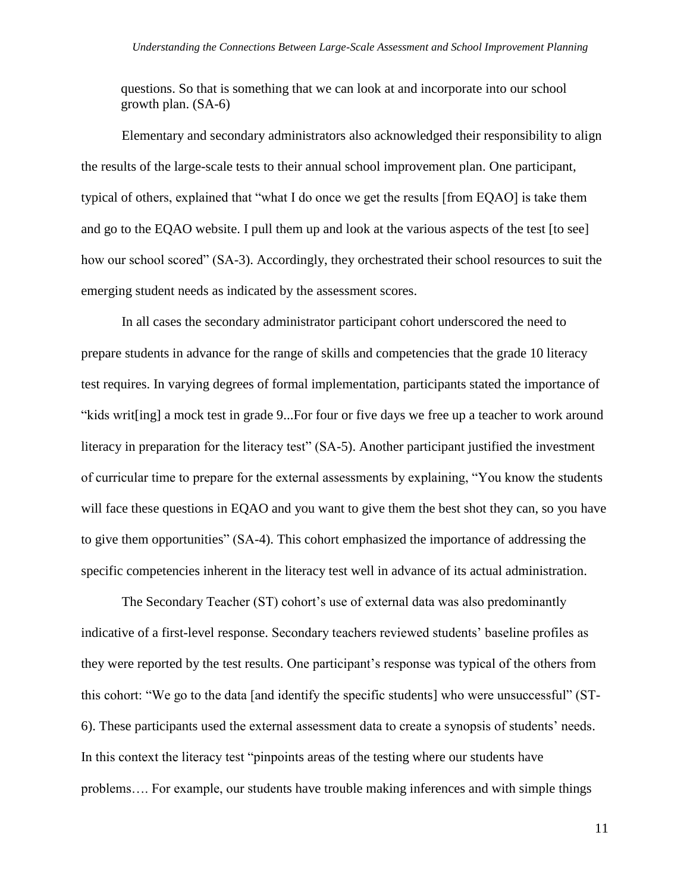questions. So that is something that we can look at and incorporate into our school growth plan. (SA-6)

Elementary and secondary administrators also acknowledged their responsibility to align the results of the large-scale tests to their annual school improvement plan. One participant, typical of others, explained that "what I do once we get the results [from EQAO] is take them and go to the EQAO website. I pull them up and look at the various aspects of the test [to see] how our school scored" (SA-3). Accordingly, they orchestrated their school resources to suit the emerging student needs as indicated by the assessment scores.

In all cases the secondary administrator participant cohort underscored the need to prepare students in advance for the range of skills and competencies that the grade 10 literacy test requires. In varying degrees of formal implementation, participants stated the importance of "kids writ[ing] a mock test in grade 9...For four or five days we free up a teacher to work around literacy in preparation for the literacy test" (SA-5). Another participant justified the investment of curricular time to prepare for the external assessments by explaining, "You know the students will face these questions in EQAO and you want to give them the best shot they can, so you have to give them opportunities" (SA-4). This cohort emphasized the importance of addressing the specific competencies inherent in the literacy test well in advance of its actual administration.

The Secondary Teacher (ST) cohort's use of external data was also predominantly indicative of a first-level response. Secondary teachers reviewed students" baseline profiles as they were reported by the test results. One participant"s response was typical of the others from this cohort: "We go to the data [and identify the specific students] who were unsuccessful" (ST-6). These participants used the external assessment data to create a synopsis of students" needs. In this context the literacy test "pinpoints areas of the testing where our students have problems…. For example, our students have trouble making inferences and with simple things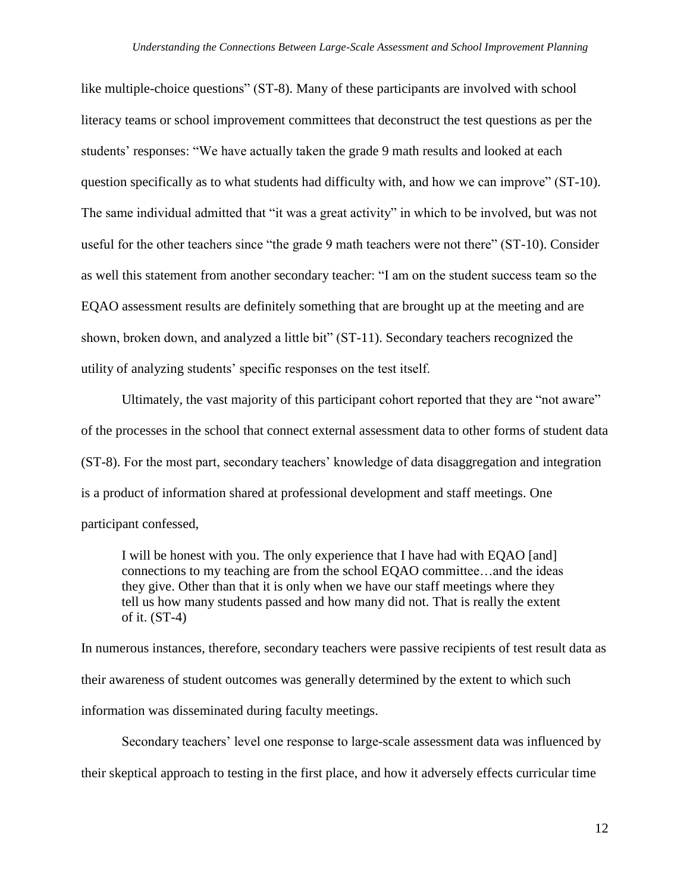like multiple-choice questions" (ST-8). Many of these participants are involved with school literacy teams or school improvement committees that deconstruct the test questions as per the students' responses: "We have actually taken the grade 9 math results and looked at each question specifically as to what students had difficulty with, and how we can improve" (ST-10). The same individual admitted that "it was a great activity" in which to be involved, but was not useful for the other teachers since "the grade 9 math teachers were not there" (ST-10). Consider as well this statement from another secondary teacher: "I am on the student success team so the EQAO assessment results are definitely something that are brought up at the meeting and are shown, broken down, and analyzed a little bit" (ST-11). Secondary teachers recognized the utility of analyzing students" specific responses on the test itself.

 Ultimately, the vast majority of this participant cohort reported that they are "not aware" of the processes in the school that connect external assessment data to other forms of student data (ST-8). For the most part, secondary teachers" knowledge of data disaggregation and integration is a product of information shared at professional development and staff meetings. One participant confessed,

I will be honest with you. The only experience that I have had with EQAO [and] connections to my teaching are from the school EQAO committee…and the ideas they give. Other than that it is only when we have our staff meetings where they tell us how many students passed and how many did not. That is really the extent of it. (ST-4)

In numerous instances, therefore, secondary teachers were passive recipients of test result data as their awareness of student outcomes was generally determined by the extent to which such information was disseminated during faculty meetings.

Secondary teachers' level one response to large-scale assessment data was influenced by their skeptical approach to testing in the first place, and how it adversely effects curricular time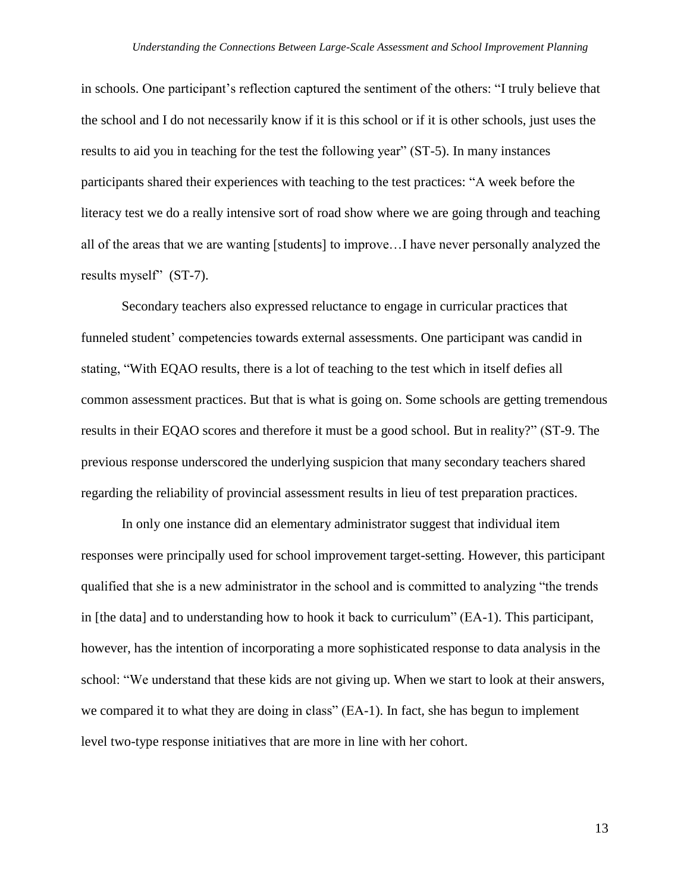in schools. One participant"s reflection captured the sentiment of the others: "I truly believe that the school and I do not necessarily know if it is this school or if it is other schools, just uses the results to aid you in teaching for the test the following year" (ST-5). In many instances participants shared their experiences with teaching to the test practices: "A week before the literacy test we do a really intensive sort of road show where we are going through and teaching all of the areas that we are wanting [students] to improve…I have never personally analyzed the results myself" (ST-7).

Secondary teachers also expressed reluctance to engage in curricular practices that funneled student" competencies towards external assessments. One participant was candid in stating, "With EQAO results, there is a lot of teaching to the test which in itself defies all common assessment practices. But that is what is going on. Some schools are getting tremendous results in their EQAO scores and therefore it must be a good school. But in reality?" (ST-9. The previous response underscored the underlying suspicion that many secondary teachers shared regarding the reliability of provincial assessment results in lieu of test preparation practices.

In only one instance did an elementary administrator suggest that individual item responses were principally used for school improvement target-setting. However, this participant qualified that she is a new administrator in the school and is committed to analyzing "the trends in [the data] and to understanding how to hook it back to curriculum" (EA-1). This participant, however, has the intention of incorporating a more sophisticated response to data analysis in the school: "We understand that these kids are not giving up. When we start to look at their answers, we compared it to what they are doing in class" (EA-1). In fact, she has begun to implement level two-type response initiatives that are more in line with her cohort.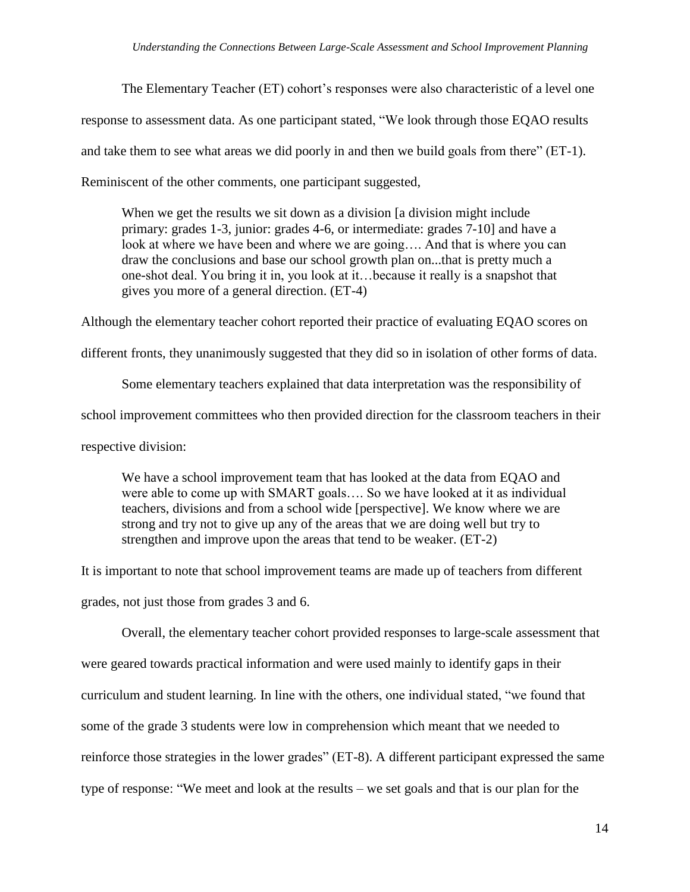The Elementary Teacher (ET) cohort"s responses were also characteristic of a level one response to assessment data. As one participant stated, "We look through those EQAO results and take them to see what areas we did poorly in and then we build goals from there" (ET-1). Reminiscent of the other comments, one participant suggested,

When we get the results we sit down as a division [a division might include primary: grades 1-3, junior: grades 4-6, or intermediate: grades 7-10] and have a look at where we have been and where we are going…. And that is where you can draw the conclusions and base our school growth plan on...that is pretty much a one-shot deal. You bring it in, you look at it…because it really is a snapshot that gives you more of a general direction. (ET-4)

Although the elementary teacher cohort reported their practice of evaluating EQAO scores on

different fronts, they unanimously suggested that they did so in isolation of other forms of data.

Some elementary teachers explained that data interpretation was the responsibility of school improvement committees who then provided direction for the classroom teachers in their respective division:

We have a school improvement team that has looked at the data from EQAO and were able to come up with SMART goals.... So we have looked at it as individual teachers, divisions and from a school wide [perspective]. We know where we are strong and try not to give up any of the areas that we are doing well but try to strengthen and improve upon the areas that tend to be weaker. (ET-2)

It is important to note that school improvement teams are made up of teachers from different grades, not just those from grades 3 and 6.

Overall, the elementary teacher cohort provided responses to large-scale assessment that were geared towards practical information and were used mainly to identify gaps in their curriculum and student learning. In line with the others, one individual stated, "we found that some of the grade 3 students were low in comprehension which meant that we needed to reinforce those strategies in the lower grades" (ET-8). A different participant expressed the same type of response: "We meet and look at the results – we set goals and that is our plan for the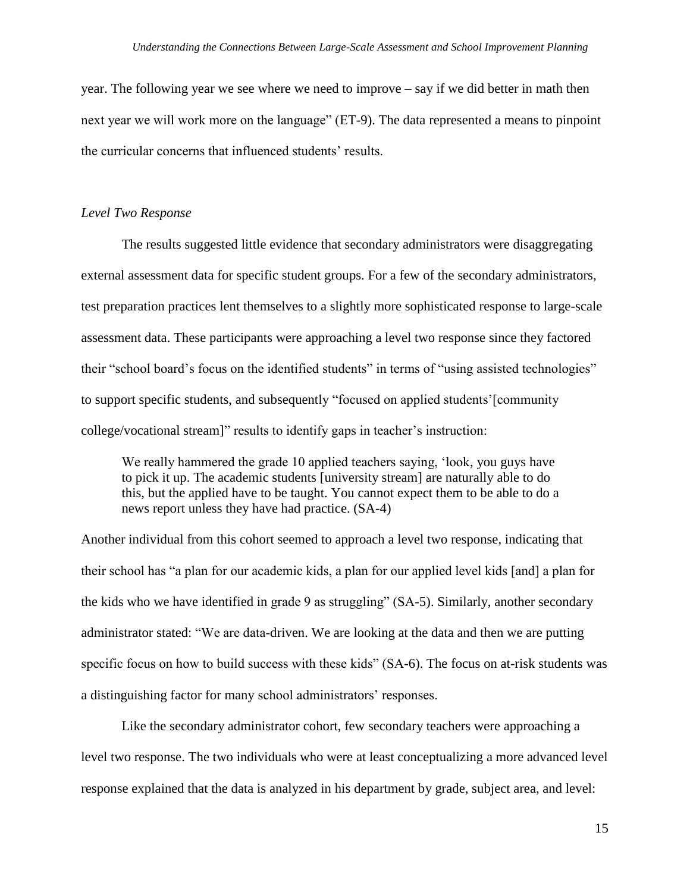year. The following year we see where we need to improve – say if we did better in math then next year we will work more on the language" (ET-9). The data represented a means to pinpoint the curricular concerns that influenced students' results.

#### *Level Two Response*

The results suggested little evidence that secondary administrators were disaggregating external assessment data for specific student groups. For a few of the secondary administrators, test preparation practices lent themselves to a slightly more sophisticated response to large-scale assessment data. These participants were approaching a level two response since they factored their "school board"s focus on the identified students" in terms of "using assisted technologies" to support specific students, and subsequently "focused on applied students"[community college/vocational stream]" results to identify gaps in teacher"s instruction:

We really hammered the grade 10 applied teachers saying, 'look, you guys have to pick it up. The academic students [university stream] are naturally able to do this, but the applied have to be taught. You cannot expect them to be able to do a news report unless they have had practice. (SA-4)

Another individual from this cohort seemed to approach a level two response, indicating that their school has "a plan for our academic kids, a plan for our applied level kids [and] a plan for the kids who we have identified in grade 9 as struggling" (SA-5). Similarly, another secondary administrator stated: "We are data-driven. We are looking at the data and then we are putting specific focus on how to build success with these kids" (SA-6). The focus on at-risk students was a distinguishing factor for many school administrators' responses.

Like the secondary administrator cohort, few secondary teachers were approaching a level two response. The two individuals who were at least conceptualizing a more advanced level response explained that the data is analyzed in his department by grade, subject area, and level: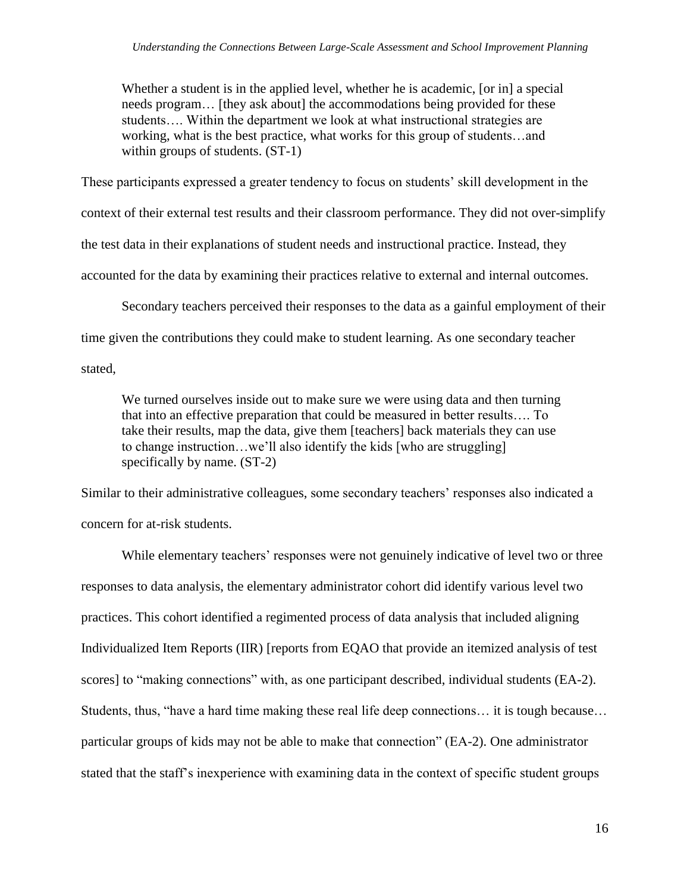Whether a student is in the applied level, whether he is academic, [or in] a special needs program… [they ask about] the accommodations being provided for these students…. Within the department we look at what instructional strategies are working, what is the best practice, what works for this group of students…and within groups of students. (ST-1)

These participants expressed a greater tendency to focus on students' skill development in the

context of their external test results and their classroom performance. They did not over-simplify

the test data in their explanations of student needs and instructional practice. Instead, they

accounted for the data by examining their practices relative to external and internal outcomes.

Secondary teachers perceived their responses to the data as a gainful employment of their

time given the contributions they could make to student learning. As one secondary teacher

stated,

We turned ourselves inside out to make sure we were using data and then turning that into an effective preparation that could be measured in better results…. To take their results, map the data, give them [teachers] back materials they can use to change instruction…we"ll also identify the kids [who are struggling] specifically by name. (ST-2)

Similar to their administrative colleagues, some secondary teachers' responses also indicated a concern for at-risk students.

While elementary teachers' responses were not genuinely indicative of level two or three responses to data analysis, the elementary administrator cohort did identify various level two practices. This cohort identified a regimented process of data analysis that included aligning Individualized Item Reports (IIR) [reports from EQAO that provide an itemized analysis of test scores] to "making connections" with, as one participant described, individual students (EA-2). Students, thus, "have a hard time making these real life deep connections… it is tough because… particular groups of kids may not be able to make that connection" (EA-2). One administrator stated that the staff"s inexperience with examining data in the context of specific student groups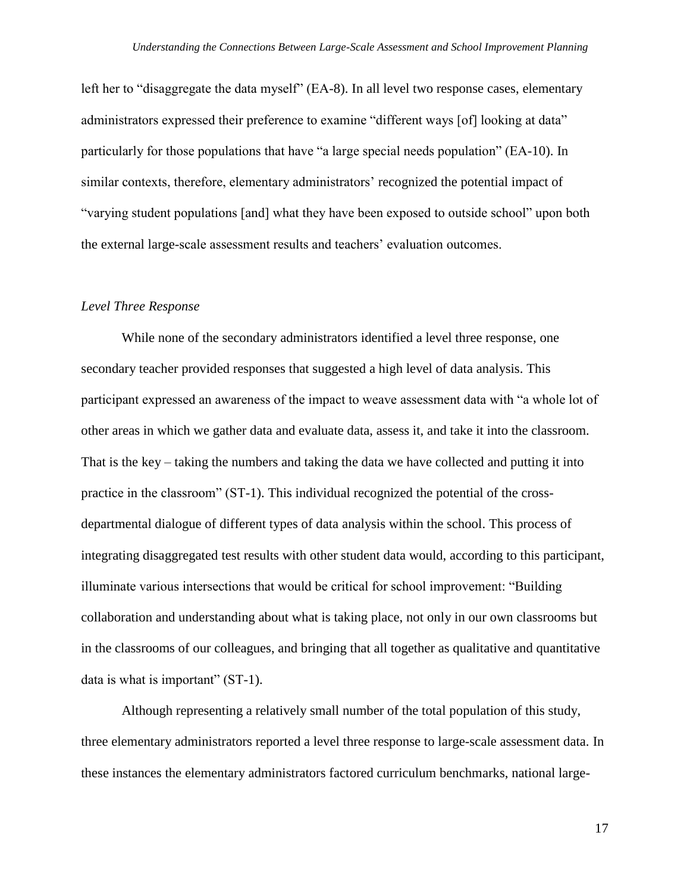left her to "disaggregate the data myself" (EA-8). In all level two response cases, elementary administrators expressed their preference to examine "different ways [of] looking at data" particularly for those populations that have "a large special needs population" (EA-10). In similar contexts, therefore, elementary administrators' recognized the potential impact of "varying student populations [and] what they have been exposed to outside school" upon both the external large-scale assessment results and teachers' evaluation outcomes.

# *Level Three Response*

While none of the secondary administrators identified a level three response, one secondary teacher provided responses that suggested a high level of data analysis. This participant expressed an awareness of the impact to weave assessment data with "a whole lot of other areas in which we gather data and evaluate data, assess it, and take it into the classroom. That is the key – taking the numbers and taking the data we have collected and putting it into practice in the classroom" (ST-1). This individual recognized the potential of the crossdepartmental dialogue of different types of data analysis within the school. This process of integrating disaggregated test results with other student data would, according to this participant, illuminate various intersections that would be critical for school improvement: "Building collaboration and understanding about what is taking place, not only in our own classrooms but in the classrooms of our colleagues, and bringing that all together as qualitative and quantitative data is what is important" (ST-1).

Although representing a relatively small number of the total population of this study, three elementary administrators reported a level three response to large-scale assessment data. In these instances the elementary administrators factored curriculum benchmarks, national large-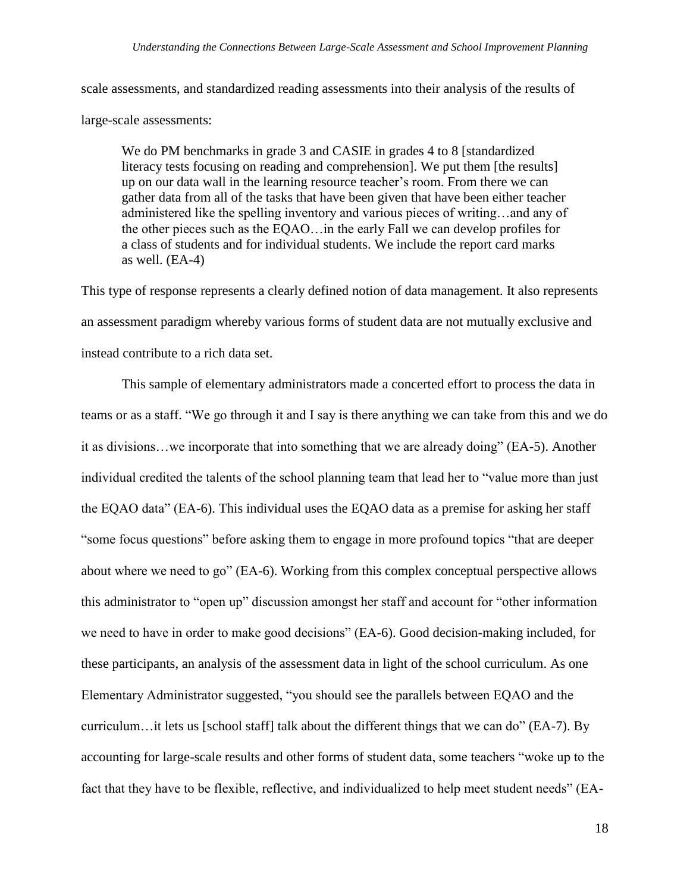scale assessments, and standardized reading assessments into their analysis of the results of

large-scale assessments:

We do PM benchmarks in grade 3 and CASIE in grades 4 to 8 [standardized] literacy tests focusing on reading and comprehension]. We put them [the results] up on our data wall in the learning resource teacher"s room. From there we can gather data from all of the tasks that have been given that have been either teacher administered like the spelling inventory and various pieces of writing…and any of the other pieces such as the EQAO…in the early Fall we can develop profiles for a class of students and for individual students. We include the report card marks as well. (EA-4)

This type of response represents a clearly defined notion of data management. It also represents an assessment paradigm whereby various forms of student data are not mutually exclusive and instead contribute to a rich data set.

This sample of elementary administrators made a concerted effort to process the data in teams or as a staff. "We go through it and I say is there anything we can take from this and we do it as divisions…we incorporate that into something that we are already doing" (EA-5). Another individual credited the talents of the school planning team that lead her to "value more than just the EQAO data" (EA-6). This individual uses the EQAO data as a premise for asking her staff "some focus questions" before asking them to engage in more profound topics "that are deeper about where we need to go" (EA-6). Working from this complex conceptual perspective allows this administrator to "open up" discussion amongst her staff and account for "other information we need to have in order to make good decisions" (EA-6). Good decision-making included, for these participants, an analysis of the assessment data in light of the school curriculum. As one Elementary Administrator suggested, "you should see the parallels between EQAO and the curriculum…it lets us [school staff] talk about the different things that we can do" (EA-7). By accounting for large-scale results and other forms of student data, some teachers "woke up to the fact that they have to be flexible, reflective, and individualized to help meet student needs" (EA-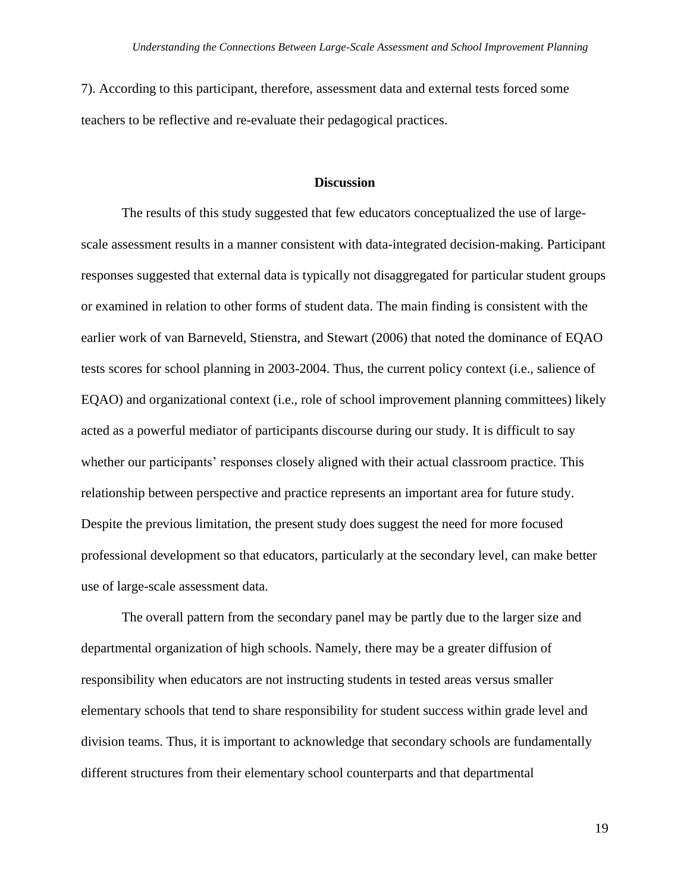7). According to this participant, therefore, assessment data and external tests forced some teachers to be reflective and re-evaluate their pedagogical practices.

## **Discussion**

The results of this study suggested that few educators conceptualized the use of largescale assessment results in a manner consistent with data-integrated decision-making. Participant responses suggested that external data is typically not disaggregated for particular student groups or examined in relation to other forms of student data. The main finding is consistent with the earlier work of van Barneveld, Stienstra, and Stewart (2006) that noted the dominance of EQAO tests scores for school planning in 2003-2004. Thus, the current policy context (i.e., salience of EQAO) and organizational context (i.e., role of school improvement planning committees) likely acted as a powerful mediator of participants discourse during our study. It is difficult to say whether our participants' responses closely aligned with their actual classroom practice. This relationship between perspective and practice represents an important area for future study. Despite the previous limitation, the present study does suggest the need for more focused professional development so that educators, particularly at the secondary level, can make better use of large-scale assessment data.

The overall pattern from the secondary panel may be partly due to the larger size and departmental organization of high schools. Namely, there may be a greater diffusion of responsibility when educators are not instructing students in tested areas versus smaller elementary schools that tend to share responsibility for student success within grade level and division teams. Thus, it is important to acknowledge that secondary schools are fundamentally different structures from their elementary school counterparts and that departmental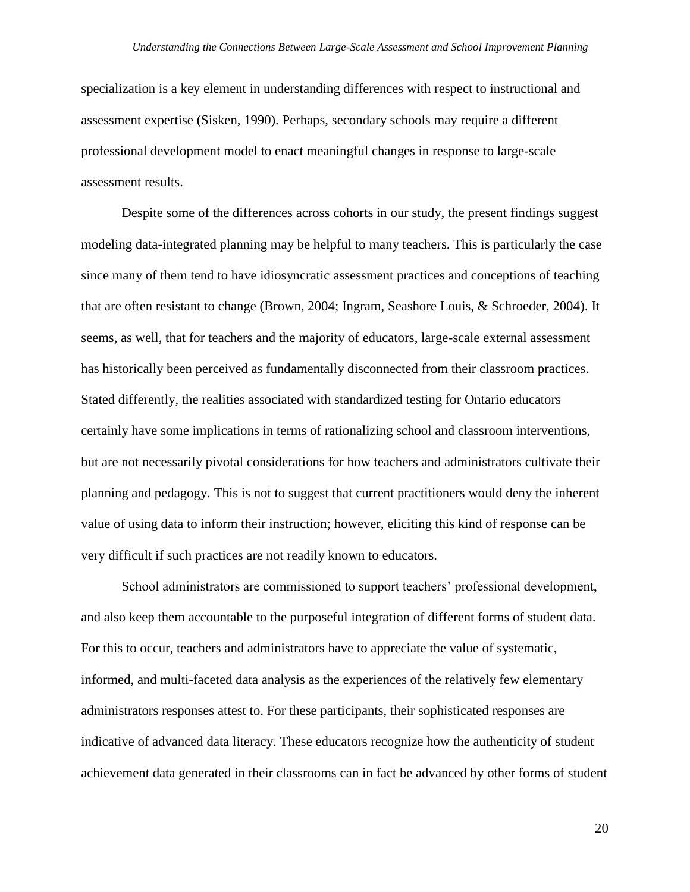specialization is a key element in understanding differences with respect to instructional and assessment expertise (Sisken, 1990). Perhaps, secondary schools may require a different professional development model to enact meaningful changes in response to large-scale assessment results.

Despite some of the differences across cohorts in our study, the present findings suggest modeling data-integrated planning may be helpful to many teachers. This is particularly the case since many of them tend to have idiosyncratic assessment practices and conceptions of teaching that are often resistant to change (Brown, 2004; Ingram, Seashore Louis, & Schroeder, 2004). It seems, as well, that for teachers and the majority of educators, large-scale external assessment has historically been perceived as fundamentally disconnected from their classroom practices. Stated differently, the realities associated with standardized testing for Ontario educators certainly have some implications in terms of rationalizing school and classroom interventions, but are not necessarily pivotal considerations for how teachers and administrators cultivate their planning and pedagogy. This is not to suggest that current practitioners would deny the inherent value of using data to inform their instruction; however, eliciting this kind of response can be very difficult if such practices are not readily known to educators.

School administrators are commissioned to support teachers" professional development, and also keep them accountable to the purposeful integration of different forms of student data. For this to occur, teachers and administrators have to appreciate the value of systematic, informed, and multi-faceted data analysis as the experiences of the relatively few elementary administrators responses attest to. For these participants, their sophisticated responses are indicative of advanced data literacy. These educators recognize how the authenticity of student achievement data generated in their classrooms can in fact be advanced by other forms of student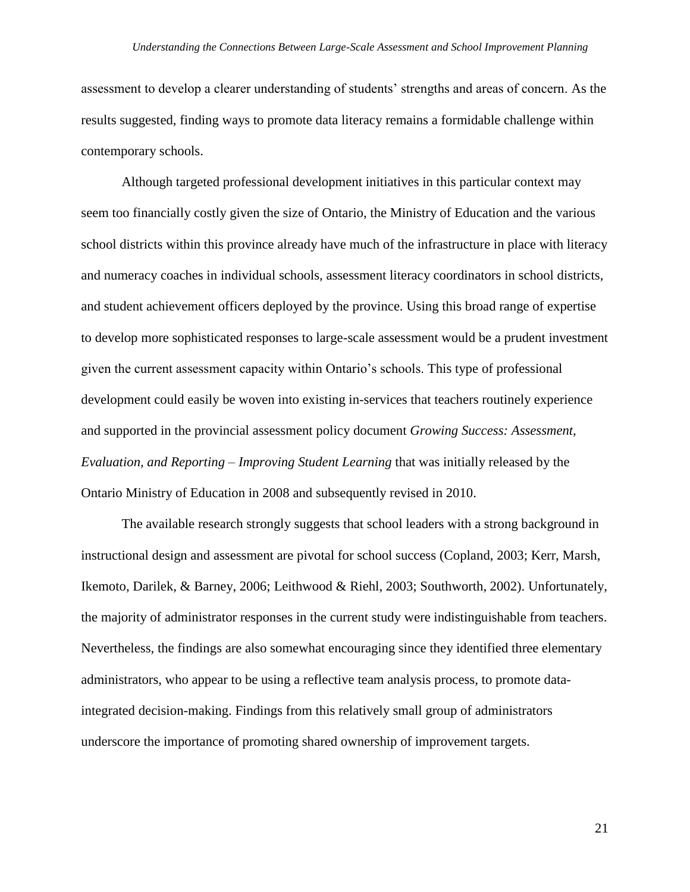assessment to develop a clearer understanding of students" strengths and areas of concern. As the results suggested, finding ways to promote data literacy remains a formidable challenge within contemporary schools.

Although targeted professional development initiatives in this particular context may seem too financially costly given the size of Ontario, the Ministry of Education and the various school districts within this province already have much of the infrastructure in place with literacy and numeracy coaches in individual schools, assessment literacy coordinators in school districts, and student achievement officers deployed by the province. Using this broad range of expertise to develop more sophisticated responses to large-scale assessment would be a prudent investment given the current assessment capacity within Ontario"s schools. This type of professional development could easily be woven into existing in-services that teachers routinely experience and supported in the provincial assessment policy document *Growing Success: Assessment, Evaluation, and Reporting – Improving Student Learning* that was initially released by the Ontario Ministry of Education in 2008 and subsequently revised in 2010.

The available research strongly suggests that school leaders with a strong background in instructional design and assessment are pivotal for school success (Copland, 2003; Kerr, Marsh, Ikemoto, Darilek, & Barney, 2006; Leithwood & Riehl, 2003; Southworth, 2002). Unfortunately, the majority of administrator responses in the current study were indistinguishable from teachers. Nevertheless, the findings are also somewhat encouraging since they identified three elementary administrators, who appear to be using a reflective team analysis process, to promote dataintegrated decision-making. Findings from this relatively small group of administrators underscore the importance of promoting shared ownership of improvement targets.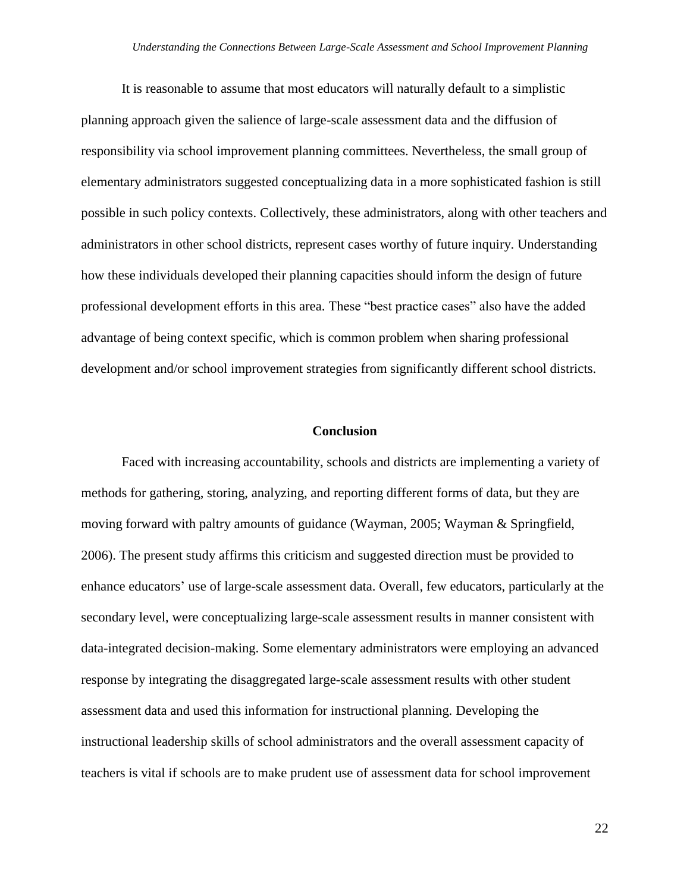It is reasonable to assume that most educators will naturally default to a simplistic planning approach given the salience of large-scale assessment data and the diffusion of responsibility via school improvement planning committees. Nevertheless, the small group of elementary administrators suggested conceptualizing data in a more sophisticated fashion is still possible in such policy contexts. Collectively, these administrators, along with other teachers and administrators in other school districts, represent cases worthy of future inquiry. Understanding how these individuals developed their planning capacities should inform the design of future professional development efforts in this area. These "best practice cases" also have the added advantage of being context specific, which is common problem when sharing professional development and/or school improvement strategies from significantly different school districts.

#### **Conclusion**

Faced with increasing accountability, schools and districts are implementing a variety of methods for gathering, storing, analyzing, and reporting different forms of data, but they are moving forward with paltry amounts of guidance (Wayman, 2005; Wayman & Springfield, 2006). The present study affirms this criticism and suggested direction must be provided to enhance educators" use of large-scale assessment data. Overall, few educators, particularly at the secondary level, were conceptualizing large-scale assessment results in manner consistent with data-integrated decision-making. Some elementary administrators were employing an advanced response by integrating the disaggregated large-scale assessment results with other student assessment data and used this information for instructional planning. Developing the instructional leadership skills of school administrators and the overall assessment capacity of teachers is vital if schools are to make prudent use of assessment data for school improvement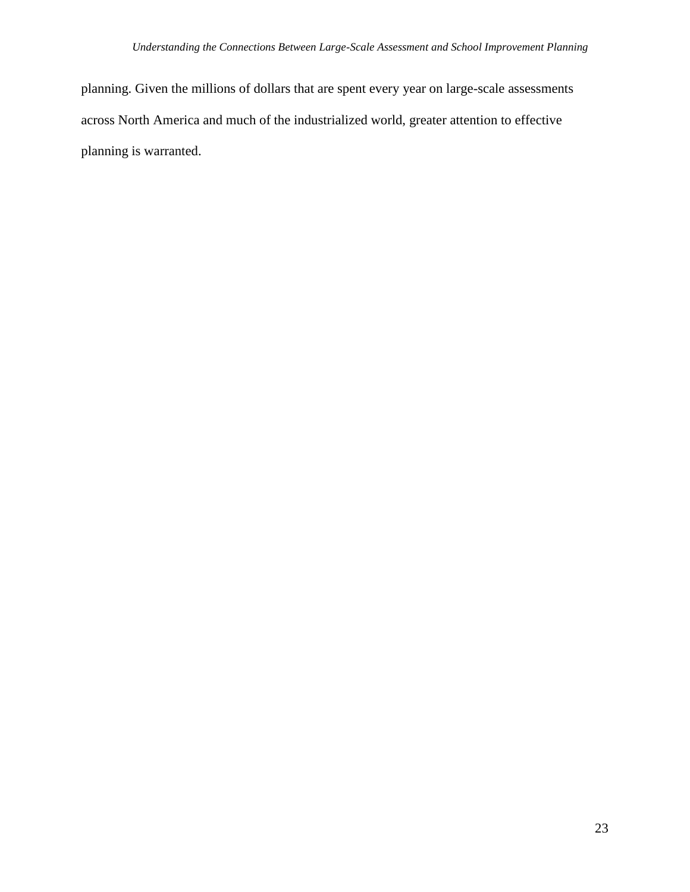planning. Given the millions of dollars that are spent every year on large-scale assessments across North America and much of the industrialized world, greater attention to effective planning is warranted.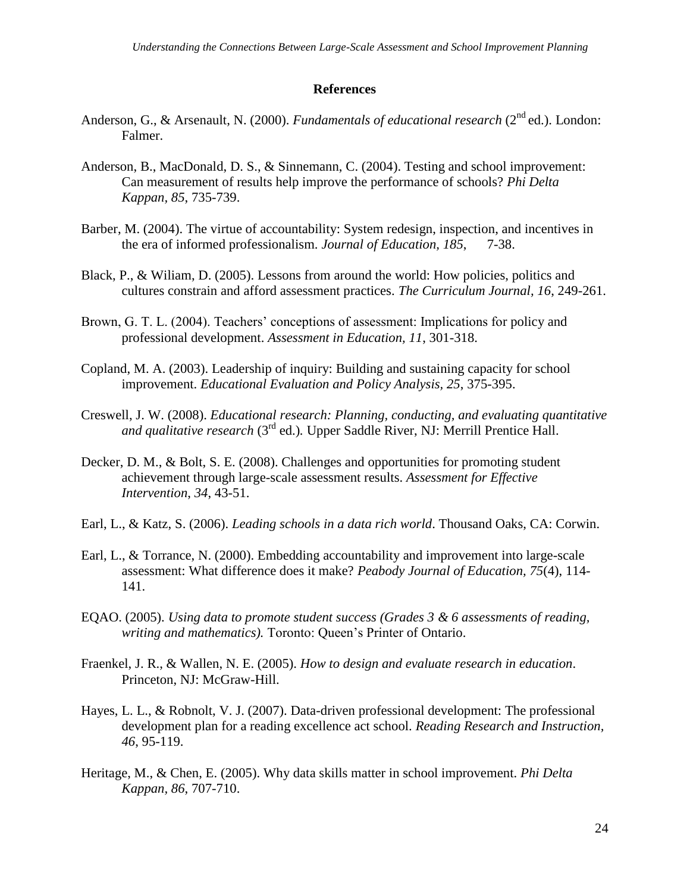## **References**

- Anderson, G., & Arsenault, N. (2000). *Fundamentals of educational research* (2<sup>nd</sup> ed.). London: Falmer.
- Anderson, B., MacDonald, D. S., & Sinnemann, C. (2004). Testing and school improvement: Can measurement of results help improve the performance of schools? *Phi Delta Kappan, 85*, 735-739.
- Barber, M. (2004). The virtue of accountability: System redesign, inspection, and incentives in the era of informed professionalism. *Journal of Education, 185*, 7-38.
- Black, P., & Wiliam, D. (2005). Lessons from around the world: How policies, politics and cultures constrain and afford assessment practices. *The Curriculum Journal, 16*, 249-261.
- Brown, G. T. L. (2004). Teachers' conceptions of assessment: Implications for policy and professional development. *Assessment in Education, 11*, 301-318.
- Copland, M. A. (2003). Leadership of inquiry: Building and sustaining capacity for school improvement. *Educational Evaluation and Policy Analysis, 25*, 375-395.
- Creswell, J. W. (2008). *Educational research: Planning, conducting, and evaluating quantitative and qualitative research* (3rd ed.)*.* Upper Saddle River, NJ: Merrill Prentice Hall.
- Decker, D. M., & Bolt, S. E. (2008). Challenges and opportunities for promoting student achievement through large-scale assessment results. *Assessment for Effective Intervention*, *34*, 43-51.
- Earl, L., & Katz, S. (2006). *Leading schools in a data rich world*. Thousand Oaks, CA: Corwin.
- Earl, L., & Torrance, N. (2000). Embedding accountability and improvement into large-scale assessment: What difference does it make? *Peabody Journal of Education, 75*(4), 114- 141.
- EQAO. (2005). *Using data to promote student success (Grades 3 & 6 assessments of reading, writing and mathematics).* Toronto: Queen"s Printer of Ontario.
- Fraenkel, J. R., & Wallen, N. E. (2005). *How to design and evaluate research in education*. Princeton, NJ: McGraw-Hill.
- Hayes, L. L., & Robnolt, V. J. (2007). Data-driven professional development: The professional development plan for a reading excellence act school. *Reading Research and Instruction, 46*, 95-119.
- Heritage, M., & Chen, E. (2005). Why data skills matter in school improvement. *Phi Delta Kappan, 86*, 707-710.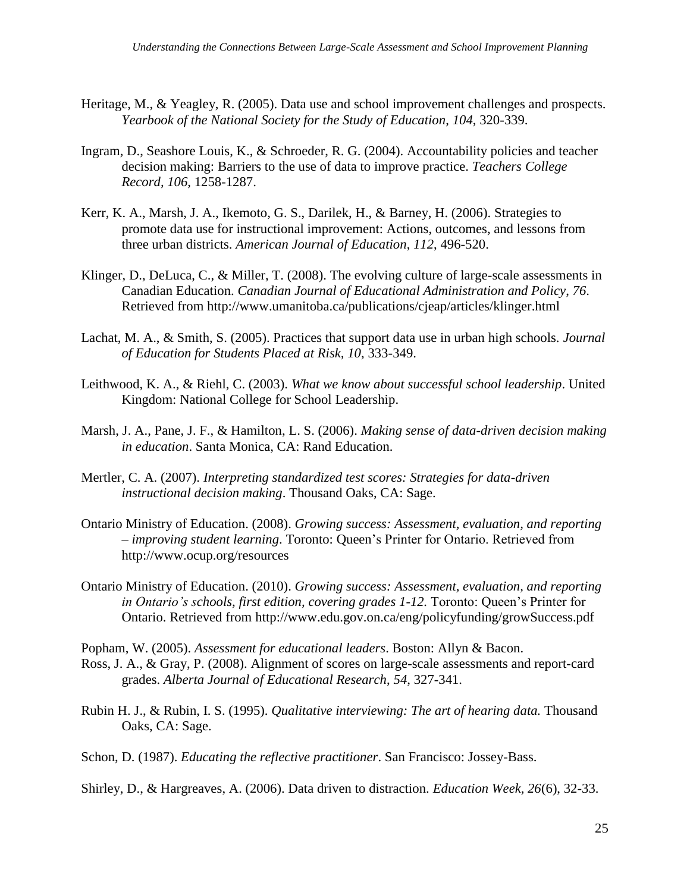- Heritage, M., & Yeagley, R. (2005). Data use and school improvement challenges and prospects. *Yearbook of the National Society for the Study of Education*, *104*, 320-339.
- Ingram, D., Seashore Louis, K., & Schroeder, R. G. (2004). Accountability policies and teacher decision making: Barriers to the use of data to improve practice. *Teachers College Record, 106*, 1258-1287.
- Kerr, K. A., Marsh, J. A., Ikemoto, G. S., Darilek, H., & Barney, H. (2006). Strategies to promote data use for instructional improvement: Actions, outcomes, and lessons from three urban districts. *American Journal of Education*, *112*, 496-520.
- Klinger, D., DeLuca, C., & Miller, T. (2008). The evolving culture of large-scale assessments in Canadian Education. *Canadian Journal of Educational Administration and Policy*, *76*. Retrieved from http://www.umanitoba.ca/publications/cjeap/articles/klinger.html
- Lachat, M. A., & Smith, S. (2005). Practices that support data use in urban high schools. *Journal of Education for Students Placed at Risk, 10*, 333-349.
- Leithwood, K. A., & Riehl, C. (2003). *What we know about successful school leadership*. United Kingdom: National College for School Leadership.
- Marsh, J. A., Pane, J. F., & Hamilton, L. S. (2006). *Making sense of data-driven decision making in education*. Santa Monica, CA: Rand Education.
- Mertler, C. A. (2007). *Interpreting standardized test scores: Strategies for data-driven instructional decision making*. Thousand Oaks, CA: Sage.
- Ontario Ministry of Education. (2008). *Growing success: Assessment, evaluation, and reporting – improving student learning*. Toronto: Queen"s Printer for Ontario. Retrieved from http://www.ocup.org/resources
- Ontario Ministry of Education. (2010). *Growing success: Assessment, evaluation, and reporting in Ontario's schools, first edition, covering grades 1-12.* Toronto: Queen"s Printer for Ontario. Retrieved from http://www.edu.gov.on.ca/eng/policyfunding/growSuccess.pdf

Popham, W. (2005). *Assessment for educational leaders*. Boston: Allyn & Bacon.

- Ross, J. A., & Gray, P. (2008). Alignment of scores on large-scale assessments and report-card grades. *Alberta Journal of Educational Research*, *54*, 327-341.
- Rubin H. J., & Rubin, I. S. (1995). *Qualitative interviewing: The art of hearing data.* Thousand Oaks, CA: Sage.
- Schon, D. (1987). *Educating the reflective practitioner*. San Francisco: Jossey-Bass.

Shirley, D., & Hargreaves, A. (2006). Data driven to distraction. *Education Week, 26*(6), 32-33.